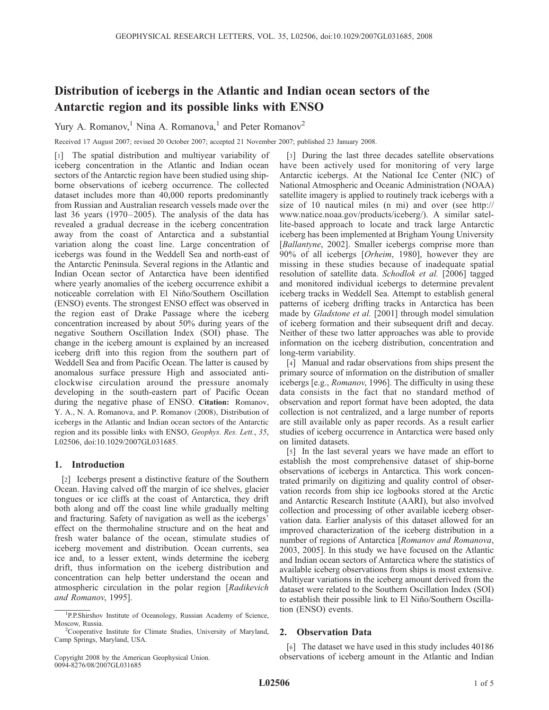# Distribution of icebergs in the Atlantic and Indian ocean sectors of the Antarctic region and its possible links with ENSO

Yury A. Romanov,<sup>1</sup> Nina A. Romanova,<sup>1</sup> and Peter Romanov<sup>2</sup>

Received 17 August 2007; revised 20 October 2007; accepted 21 November 2007; published 23 January 2008.

[1] The spatial distribution and multiyear variability of iceberg concentration in the Atlantic and Indian ocean sectors of the Antarctic region have been studied using shipborne observations of iceberg occurrence. The collected dataset includes more than 40,000 reports predominantly from Russian and Australian research vessels made over the last 36 years  $(1970-2005)$ . The analysis of the data has revealed a gradual decrease in the iceberg concentration away from the coast of Antarctica and a substantial variation along the coast line. Large concentration of icebergs was found in the Weddell Sea and north-east of the Antarctic Peninsula. Several regions in the Atlantic and Indian Ocean sector of Antarctica have been identified where yearly anomalies of the iceberg occurrence exhibit a noticeable correlation with El Niño/Southern Oscillation (ENSO) events. The strongest ENSO effect was observed in the region east of Drake Passage where the iceberg concentration increased by about 50% during years of the negative Southern Oscillation Index (SOI) phase. The change in the iceberg amount is explained by an increased iceberg drift into this region from the southern part of Weddell Sea and from Pacific Ocean. The latter is caused by anomalous surface pressure High and associated anticlockwise circulation around the pressure anomaly developing in the south-eastern part of Pacific Ocean during the negative phase of ENSO. Citation: Romanov, Y. A., N. A. Romanova, and P. Romanov (2008), Distribution of icebergs in the Atlantic and Indian ocean sectors of the Antarctic region and its possible links with ENSO, Geophys. Res. Lett., 35, L02506, doi:10.1029/2007GL031685.

# 1. Introduction

[2] Icebergs present a distinctive feature of the Southern Ocean. Having calved off the margin of ice shelves, glacier tongues or ice cliffs at the coast of Antarctica, they drift both along and off the coast line while gradually melting and fracturing. Safety of navigation as well as the icebergs' effect on the thermohaline structure and on the heat and fresh water balance of the ocean, stimulate studies of iceberg movement and distribution. Ocean currents, sea ice and, to a lesser extent, winds determine the iceberg drift, thus information on the iceberg distribution and concentration can help better understand the ocean and atmospheric circulation in the polar region [Radikevich and Romanov, 1995].

[3] During the last three decades satellite observations have been actively used for monitoring of very large Antarctic icebergs. At the National Ice Center (NIC) of National Atmospheric and Oceanic Administration (NOAA) satellite imagery is applied to routinely track icebergs with a size of 10 nautical miles (n mi) and over (see http:// www.natice.noaa.gov/products/iceberg/). A similar satellite-based approach to locate and track large Antarctic iceberg has been implemented at Brigham Young University [Ballantyne, 2002]. Smaller icebergs comprise more than 90% of all icebergs [Orheim, 1980], however they are missing in these studies because of inadequate spatial resolution of satellite data. Schodlok et al. [2006] tagged and monitored individual icebergs to determine prevalent iceberg tracks in Weddell Sea. Attempt to establish general patterns of iceberg drifting tracks in Antarctica has been made by Gladstone et al. [2001] through model simulation of iceberg formation and their subsequent drift and decay. Neither of these two latter approaches was able to provide information on the iceberg distribution, concentration and long-term variability.

[4] Manual and radar observations from ships present the primary source of information on the distribution of smaller icebergs [e.g., Romanov, 1996]. The difficulty in using these data consists in the fact that no standard method of observation and report format have been adopted, the data collection is not centralized, and a large number of reports are still available only as paper records. As a result earlier studies of iceberg occurrence in Antarctica were based only on limited datasets.

[5] In the last several years we have made an effort to establish the most comprehensive dataset of ship-borne observations of icebergs in Antarctica. This work concentrated primarily on digitizing and quality control of observation records from ship ice logbooks stored at the Arctic and Antarctic Research Institute (AARI), but also involved collection and processing of other available iceberg observation data. Earlier analysis of this dataset allowed for an improved characterization of the iceberg distribution in a number of regions of Antarctica [Romanov and Romanova, 2003, 2005]. In this study we have focused on the Atlantic and Indian ocean sectors of Antarctica where the statistics of available iceberg observations from ships is most extensive. Multiyear variations in the iceberg amount derived from the dataset were related to the Southern Oscillation Index (SOI) to establish their possible link to El Niño/Southern Oscillation (ENSO) events.

# 2. Observation Data

[6] The dataset we have used in this study includes 40186 observations of iceberg amount in the Atlantic and Indian

<sup>&</sup>lt;sup>1</sup>P.P.Shirshov Institute of Oceanology, Russian Academy of Science, Moscow, Russia.

<sup>&</sup>lt;sup>2</sup>Cooperative Institute for Climate Studies, University of Maryland, Camp Springs, Maryland, USA.

Copyright 2008 by the American Geophysical Union. 0094-8276/08/2007GL031685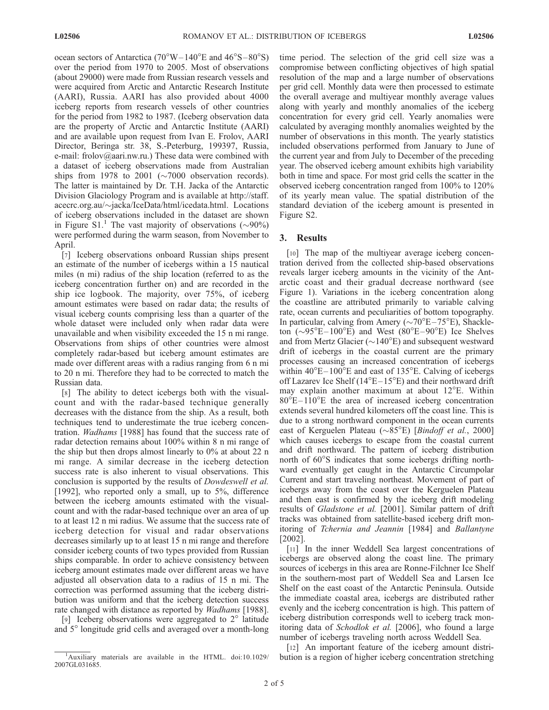ocean sectors of Antarctica ( $70^{\circ}$ W $-140^{\circ}$ E and  $46^{\circ}$ S $-80^{\circ}$ S) over the period from 1970 to 2005. Most of observations (about 29000) were made from Russian research vessels and were acquired from Arctic and Antarctic Research Institute (AARI), Russia. AARI has also provided about 4000 iceberg reports from research vessels of other countries for the period from 1982 to 1987. (Iceberg observation data are the property of Arctic and Antarctic Institute (AARI) and are available upon request from Ivan E. Frolov, AARI Director, Beringa str. 38, S.-Peterburg, 199397, Russia, e-mail: frolov@aari.nw.ru.) These data were combined with a dataset of iceberg observations made from Australian ships from 1978 to 2001 ( $\sim$ 7000 observation records). The latter is maintained by Dr. T.H. Jacka of the Antarctic Division Glaciology Program and is available at http://staff. acecrc.org.au/ $\sim$ jacka/IceData/html/icedata.html. Locations of iceberg observations included in the dataset are shown in Figure S1.<sup>1</sup> The vast majority of observations ( $\sim$ 90%) were performed during the warm season, from November to April.

[7] Iceberg observations onboard Russian ships present an estimate of the number of icebergs within a 15 nautical miles (n mi) radius of the ship location (referred to as the iceberg concentration further on) and are recorded in the ship ice logbook. The majority, over 75%, of iceberg amount estimates were based on radar data; the results of visual iceberg counts comprising less than a quarter of the whole dataset were included only when radar data were unavailable and when visibility exceeded the 15 n mi range. Observations from ships of other countries were almost completely radar-based but iceberg amount estimates are made over different areas with a radius ranging from 6 n mi to 20 n mi. Therefore they had to be corrected to match the Russian data.

[8] The ability to detect icebergs both with the visualcount and with the radar-based technique generally decreases with the distance from the ship. As a result, both techniques tend to underestimate the true iceberg concentration. Wadhams [1988] has found that the success rate of radar detection remains about 100% within 8 n mi range of the ship but then drops almost linearly to 0% at about 22 n mi range. A similar decrease in the iceberg detection success rate is also inherent to visual observations. This conclusion is supported by the results of Dowdeswell et al. [1992], who reported only a small, up to 5%, difference between the iceberg amounts estimated with the visualcount and with the radar-based technique over an area of up to at least 12 n mi radius. We assume that the success rate of iceberg detection for visual and radar observations decreases similarly up to at least 15 n mi range and therefore consider iceberg counts of two types provided from Russian ships comparable. In order to achieve consistency between iceberg amount estimates made over different areas we have adjusted all observation data to a radius of 15 n mi. The correction was performed assuming that the iceberg distribution was uniform and that the iceberg detection success rate changed with distance as reported by *Wadhams* [1988].

[9] Iceberg observations were aggregated to  $2^{\circ}$  latitude and 5° longitude grid cells and averaged over a month-long time period. The selection of the grid cell size was a compromise between conflicting objectives of high spatial resolution of the map and a large number of observations per grid cell. Monthly data were then processed to estimate the overall average and multiyear monthly average values along with yearly and monthly anomalies of the iceberg concentration for every grid cell. Yearly anomalies were calculated by averaging monthly anomalies weighted by the number of observations in this month. The yearly statistics included observations performed from January to June of the current year and from July to December of the preceding year. The observed iceberg amount exhibits high variability both in time and space. For most grid cells the scatter in the observed iceberg concentration ranged from 100% to 120% of its yearly mean value. The spatial distribution of the standard deviation of the iceberg amount is presented in Figure S2.

## 3. Results

[10] The map of the multivear average iceberg concentration derived from the collected ship-based observations reveals larger iceberg amounts in the vicinity of the Antarctic coast and their gradual decrease northward (see Figure 1). Variations in the iceberg concentration along the coastline are attributed primarily to variable calving rate, ocean currents and peculiarities of bottom topography. In particular, calving from Amery  $({\sim}70^{\circ}E-75^{\circ}E)$ , Shackleton  $(\sim 95^{\circ}E-100^{\circ}E)$  and West  $(80^{\circ}E-90^{\circ}E)$  Ice Shelves and from Mertz Glacier ( $\sim$ 140°E) and subsequent westward drift of icebergs in the coastal current are the primary processes causing an increased concentration of icebergs within  $40^{\circ}E - 100^{\circ}E$  and east of 135 $^{\circ}E$ . Calving of icebergs off Lazarev Ice Shelf ( $14^{\circ}E-15^{\circ}E$ ) and their northward drift may explain another maximum at about  $12^{\circ}E$ . Within  $80^{\circ}E-110^{\circ}E$  the area of increased iceberg concentration extends several hundred kilometers off the coast line. This is due to a strong northward component in the ocean currents east of Kerguelen Plateau ( $\sim 85^{\circ}$ E) [*Bindoff et al.*, 2000] which causes icebergs to escape from the coastal current and drift northward. The pattern of iceberg distribution north of  $60^{\circ}$ S indicates that some icebergs drifting northward eventually get caught in the Antarctic Circumpolar Current and start traveling northeast. Movement of part of icebergs away from the coast over the Kerguelen Plateau and then east is confirmed by the iceberg drift modeling results of Gladstone et al. [2001]. Similar pattern of drift tracks was obtained from satellite-based iceberg drift monitoring of Tchernia and Jeannin [1984] and Ballantyne [2002].

[11] In the inner Weddell Sea largest concentrations of icebergs are observed along the coast line. The primary sources of icebergs in this area are Ronne-Filchner Ice Shelf in the southern-most part of Weddell Sea and Larsen Ice Shelf on the east coast of the Antarctic Peninsula. Outside the immediate coastal area, icebergs are distributed rather evenly and the iceberg concentration is high. This pattern of iceberg distribution corresponds well to iceberg track monitoring data of Schodlok et al. [2006], who found a large number of icebergs traveling north across Weddell Sea.

[12] An important feature of the iceberg amount distri-<sup>1</sup>Auxiliary materials are available in the HTML. doi:10.1029/ bution is a region of higher iceberg concentration stretching

<sup>2007</sup>GL031685.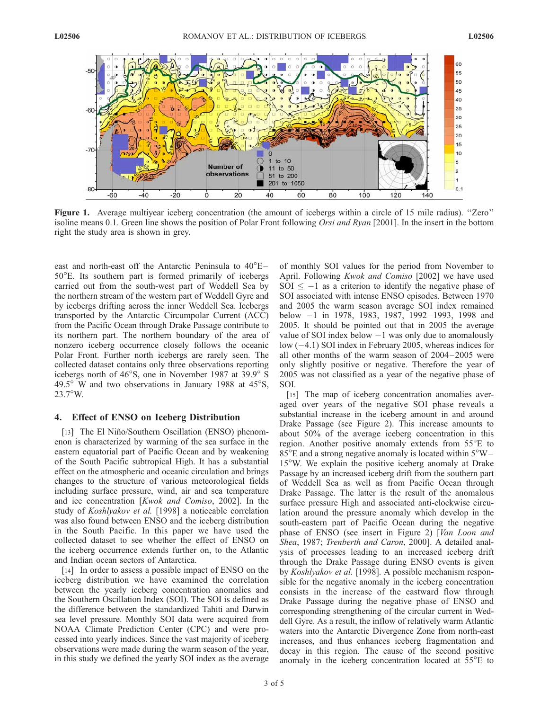

Figure 1. Average multiyear iceberg concentration (the amount of icebergs within a circle of 15 mile radius). "Zero" isoline means 0.1. Green line shows the position of Polar Front following *Orsi and Ryan* [2001]. In the insert in the bottom right the study area is shown in grey.

east and north-east off the Antarctic Peninsula to  $40^{\circ}E 50^{\circ}$ E. Its southern part is formed primarily of icebergs carried out from the south-west part of Weddell Sea by the northern stream of the western part of Weddell Gyre and by icebergs drifting across the inner Weddell Sea. Icebergs transported by the Antarctic Circumpolar Current (ACC) from the Pacific Ocean through Drake Passage contribute to its northern part. The northern boundary of the area of nonzero iceberg occurrence closely follows the oceanic Polar Front. Further north icebergs are rarely seen. The collected dataset contains only three observations reporting icebergs north of  $46^{\circ}$ S, one in November 1987 at 39.9 $^{\circ}$  S 49.5 $\degree$  W and two observations in January 1988 at 45 $\degree$ S, 23.7°W.

### 4. Effect of ENSO on Iceberg Distribution

[13] The El Niño/Southern Oscillation (ENSO) phenomenon is characterized by warming of the sea surface in the eastern equatorial part of Pacific Ocean and by weakening of the South Pacific subtropical High. It has a substantial effect on the atmospheric and oceanic circulation and brings changes to the structure of various meteorological fields including surface pressure, wind, air and sea temperature and ice concentration [Kwok and Comiso, 2002]. In the study of Koshlyakov et al. [1998] a noticeable correlation was also found between ENSO and the iceberg distribution in the South Pacific. In this paper we have used the collected dataset to see whether the effect of ENSO on the iceberg occurrence extends further on, to the Atlantic and Indian ocean sectors of Antarctica.

[14] In order to assess a possible impact of ENSO on the iceberg distribution we have examined the correlation between the yearly iceberg concentration anomalies and the Southern Oscillation Index (SOI). The SOI is defined as the difference between the standardized Tahiti and Darwin sea level pressure. Monthly SOI data were acquired from NOAA Climate Prediction Center (CPC) and were processed into yearly indices. Since the vast majority of iceberg observations were made during the warm season of the year, in this study we defined the yearly SOI index as the average of monthly SOI values for the period from November to April. Following Kwok and Comiso [2002] we have used SOI  $\leq -1$  as a criterion to identify the negative phase of SOI associated with intense ENSO episodes. Between 1970 and 2005 the warm season average SOI index remained below -1 in 1978, 1983, 1987, 1992-1993, 1998 and 2005. It should be pointed out that in 2005 the average value of SOI index below  $-1$  was only due to anomalously low  $(-4.1)$  SOI index in February 2005, whereas indices for all other months of the warm season of 2004– 2005 were only slightly positive or negative. Therefore the year of 2005 was not classified as a year of the negative phase of SOI.

[15] The map of iceberg concentration anomalies averaged over years of the negative SOI phase reveals a substantial increase in the iceberg amount in and around Drake Passage (see Figure 2). This increase amounts to about 50% of the average iceberg concentration in this region. Another positive anomaly extends from 55°E to  $85^{\circ}$ E and a strong negative anomaly is located within  $5^{\circ}$ W – 15W. We explain the positive iceberg anomaly at Drake Passage by an increased iceberg drift from the southern part of Weddell Sea as well as from Pacific Ocean through Drake Passage. The latter is the result of the anomalous surface pressure High and associated anti-clockwise circulation around the pressure anomaly which develop in the south-eastern part of Pacific Ocean during the negative phase of ENSO (see insert in Figure 2) [Van Loon and Shea, 1987; Trenberth and Caron, 2000]. A detailed analysis of processes leading to an increased iceberg drift through the Drake Passage during ENSO events is given by Koshlyakov et al. [1998]. A possible mechanism responsible for the negative anomaly in the iceberg concentration consists in the increase of the eastward flow through Drake Passage during the negative phase of ENSO and corresponding strengthening of the circular current in Weddell Gyre. As a result, the inflow of relatively warm Atlantic waters into the Antarctic Divergence Zone from north-east increases, and thus enhances iceberg fragmentation and decay in this region. The cause of the second positive anomaly in the iceberg concentration located at  $55^{\circ}E$  to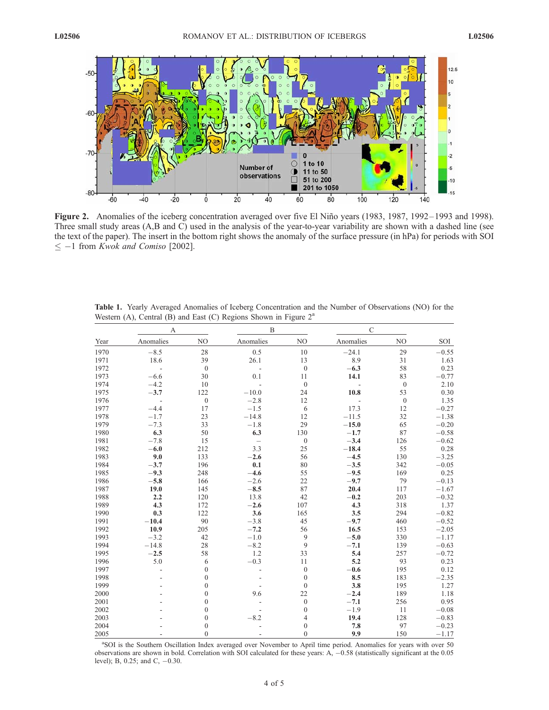

Figure 2. Anomalies of the iceberg concentration averaged over five El Niño years (1983, 1987, 1992-1993 and 1998). Three small study areas (A,B and C) used in the analysis of the year-to-year variability are shown with a dashed line (see the text of the paper). The insert in the bottom right shows the anomaly of the surface pressure (in hPa) for periods with SOI  $\leq -1$  from *Kwok and Comiso* [2002].

| Year | A             |                  | B              |                  | $\mathcal{C}$ |                  |         |
|------|---------------|------------------|----------------|------------------|---------------|------------------|---------|
|      | Anomalies     | N <sub>O</sub>   | Anomalies      | $\rm NO$         | Anomalies     | NO               | SOI     |
| 1970 | $-8.5$        | 28               | 0.5            | 10               | $-24.1$       | 29               | $-0.55$ |
| 1971 | 18.6          | 39               | 26.1           | 13               | 8.9           | 31               | 1.63    |
| 1972 | $\frac{1}{2}$ | $\boldsymbol{0}$ |                | $\boldsymbol{0}$ | $-6.3$        | 58               | 0.23    |
| 1973 | $-6.6$        | 30               | 0.1            | 11               | 14.1          | 83               | $-0.77$ |
| 1974 | $-4.2$        | 10               |                | $\boldsymbol{0}$ |               | $\mathbf{0}$     | 2.10    |
| 1975 | $-3.7$        | 122              | $-10.0$        | 24               | 10.8          | 53               | 0.30    |
| 1976 |               | $\boldsymbol{0}$ | $-2.8$         | 12               |               | $\boldsymbol{0}$ | 1.35    |
| 1977 | $-4.4$        | 17               | $-1.5$         | 6                | 17.3          | 12               | $-0.27$ |
| 1978 | $-1.7$        | 23               | $-14.8$        | 12               | $-11.5$       | 32               | $-1.38$ |
| 1979 | $-7.3$        | 33               | $-1.8$         | 29               | $-15.0$       | 65               | $-0.20$ |
| 1980 | 6.3           | 50               | 6.3            | 130              | $-1.7$        | 87               | $-0.58$ |
| 1981 | $-7.8$        | 15               |                | $\boldsymbol{0}$ | $-3.4$        | 126              | $-0.62$ |
| 1982 | $-6.0$        | 212              | 3.3            | 25               | $-18.4$       | 55               | 0.28    |
| 1983 | 9.0           | 133              | $-2.6$         | 56               | $-4.5$        | 130              | $-3.25$ |
| 1984 | $-3.7$        | 196              | 0.1            | 80               | $-3.5$        | 342              | $-0.05$ |
| 1985 | $-9.3$        | 248              | $-4.6$         | 55               | $-9.5$        | 169              | 0.25    |
| 1986 | $-5.8$        | 166              | $-2.6$         | 22               | $-9.7$        | 79               | $-0.13$ |
| 1987 | 19.0          | 145              | $-8.5$         | 87               | 20.4          | 117              | $-1.67$ |
| 1988 | 2.2           | 120              | 13.8           | 42               | $-0.2$        | 203              | $-0.32$ |
| 1989 | 4.3           | 172              | $-2.6$         | 107              | 4.3           | 318              | 1.37    |
| 1990 | 0.3           | 122              | 3.6            | 165              | 3.5           | 294              | $-0.82$ |
| 1991 | $-10.4$       | 90               | $-3.8$         | 45               | $-9.7$        | 460              | $-0.52$ |
| 1992 | 10.9          | 205              | $-7.2$         | 56               | 16.5          | 153              | $-2.05$ |
| 1993 | $-3.2$        | 42               | $-1.0$         | 9                | $-5.0$        | 330              | $-1.17$ |
| 1994 | $-14.8$       | 28               | $-8.2$         | 9                | $-7.1$        | 139              | $-0.63$ |
| 1995 | $-2.5$        | 58               | 1.2            | 33               | 5.4           | 257              | $-0.72$ |
| 1996 | 5.0           | 6                | $-0.3$         | 11               | 5.2           | 93               | 0.23    |
| 1997 | L,            | $\mathbf{0}$     | $\overline{a}$ | $\boldsymbol{0}$ | $-0.6$        | 195              | 0.12    |
| 1998 |               | $\mathbf{0}$     |                | $\boldsymbol{0}$ | 8.5           | 183              | $-2.35$ |
| 1999 |               | $\mathbf{0}$     |                | $\boldsymbol{0}$ | 3.8           | 195              | 1.27    |
| 2000 |               | $\mathbf{0}$     | 9.6            | 22               | $-2.4$        | 189              | 1.18    |
| 2001 |               | $\mathbf{0}$     |                | $\boldsymbol{0}$ | $-7.1$        | 256              | 0.95    |
| 2002 |               | $\mathbf{0}$     |                | $\boldsymbol{0}$ | $-1.9$        | 11               | $-0.08$ |
| 2003 |               | $\mathbf{0}$     | $-8.2$         | $\overline{4}$   | 19.4          | 128              | $-0.83$ |
| 2004 |               | $\mathbf{0}$     |                | $\boldsymbol{0}$ | 7.8           | 97               | $-0.23$ |
| 2005 |               | $\mathbf{0}$     |                | $\boldsymbol{0}$ | 9.9           | 150              | $-1.17$ |

Table 1. Yearly Averaged Anomalies of Iceberg Concentration and the Number of Observations (NO) for the Western (A), Central (B) and East (C) Regions Shown in Figure  $2<sup>a</sup>$ 

<sup>a</sup>SOI is the Southern Oscillation Index averaged over November to April time period. Anomalies for years with over 50 observations are shown in bold. Correlation with SOI calculated for these years: A, 0.58 (statistically significant at the 0.05 level); B, 0.25; and C, -0.30.